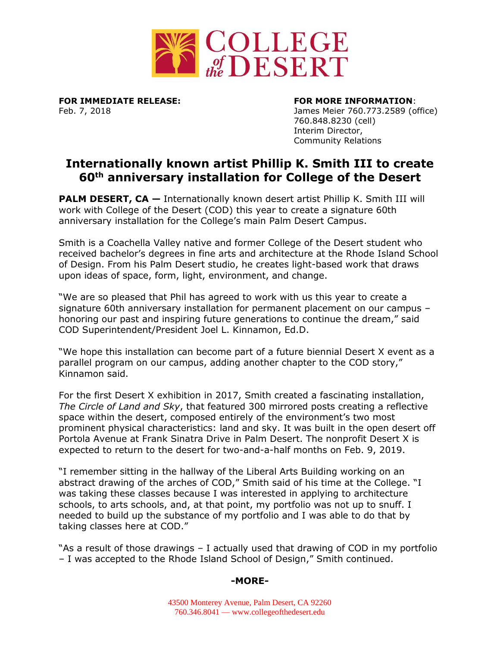

**FOR IMMEDIATE RELEASE: FOR MORE INFORMATION**:

Feb. 7, 2018 James Meier 760.773.2589 (office) 760.848.8230 (cell) Interim Director, Community Relations

## **Internationally known artist Phillip K. Smith III to create 60th anniversary installation for College of the Desert**

**PALM DESERT, CA** – Internationally known desert artist Phillip K. Smith III will work with College of the Desert (COD) this year to create a signature 60th anniversary installation for the College's main Palm Desert Campus.

Smith is a Coachella Valley native and former College of the Desert student who received bachelor's degrees in fine arts and architecture at the Rhode Island School of Design. From his Palm Desert studio, he creates light-based work that draws upon ideas of space, form, light, environment, and change.

"We are so pleased that Phil has agreed to work with us this year to create a signature 60th anniversary installation for permanent placement on our campus – honoring our past and inspiring future generations to continue the dream," said COD Superintendent/President Joel L. Kinnamon, Ed.D.

"We hope this installation can become part of a future biennial Desert X event as a parallel program on our campus, adding another chapter to the COD story," Kinnamon said.

For the first Desert X exhibition in 2017, Smith created a fascinating installation, *The Circle of Land and Sky*, that featured 300 mirrored posts creating a reflective space within the desert, composed entirely of the environment's two most prominent physical characteristics: land and sky. It was built in the open desert off Portola Avenue at Frank Sinatra Drive in Palm Desert. The nonprofit Desert X is expected to return to the desert for two-and-a-half months on Feb. 9, 2019.

"I remember sitting in the hallway of the Liberal Arts Building working on an abstract drawing of the arches of COD," Smith said of his time at the College. "I was taking these classes because I was interested in applying to architecture schools, to arts schools, and, at that point, my portfolio was not up to snuff. I needed to build up the substance of my portfolio and I was able to do that by taking classes here at COD."

"As a result of those drawings – I actually used that drawing of COD in my portfolio – I was accepted to the Rhode Island School of Design," Smith continued.

## **-MORE-**